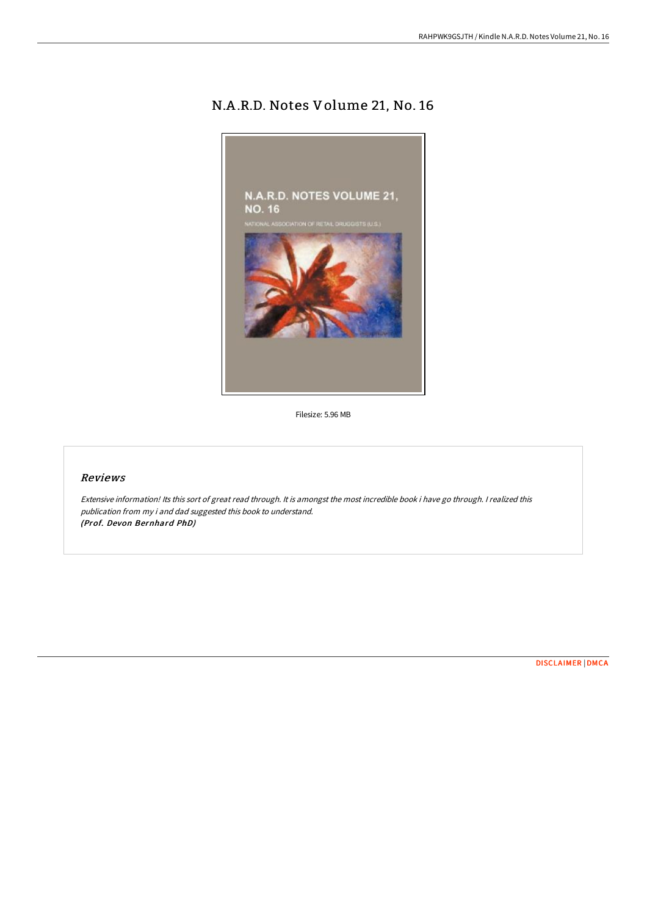## N.A .R.D. Notes Volume 21, No. 16



Filesize: 5.96 MB

## Reviews

Extensive information! Its this sort of great read through. It is amongst the most incredible book i have go through. <sup>I</sup> realized this publication from my i and dad suggested this book to understand. (Prof. Devon Bernhard PhD)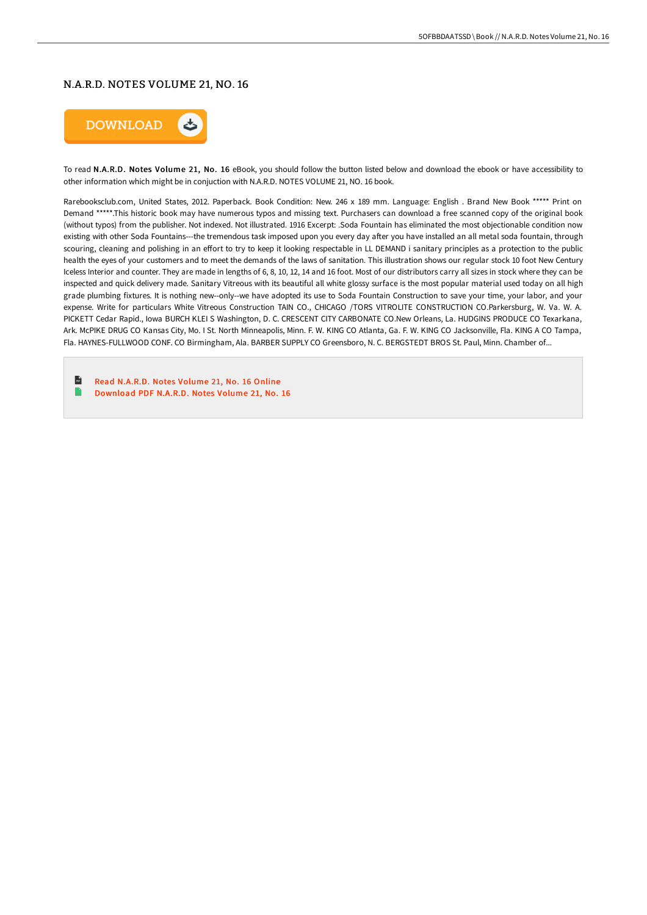## N.A.R.D. NOTES VOLUME 21, NO. 16



To read N.A.R.D. Notes Volume 21, No. 16 eBook, you should follow the button listed below and download the ebook or have accessibility to other information which might be in conjuction with N.A.R.D. NOTES VOLUME 21, NO. 16 book.

Rarebooksclub.com, United States, 2012. Paperback. Book Condition: New. 246 x 189 mm. Language: English . Brand New Book \*\*\*\*\* Print on Demand \*\*\*\*\*.This historic book may have numerous typos and missing text. Purchasers can download a free scanned copy of the original book (without typos) from the publisher. Not indexed. Not illustrated. 1916 Excerpt: .Soda Fountain has eliminated the most objectionable condition now existing with other Soda Fountains---the tremendous task imposed upon you every day after you have installed an all metal soda fountain, through scouring, cleaning and polishing in an effort to try to keep it looking respectable in LL DEMAND i sanitary principles as a protection to the public health the eyes of your customers and to meet the demands of the laws of sanitation. This illustration shows our regular stock 10 foot New Century Iceless Interior and counter. They are made in lengths of 6, 8, 10, 12, 14 and 16 foot. Most of our distributors carry all sizes in stock where they can be inspected and quick delivery made. Sanitary Vitreous with its beautiful all white glossy surface is the most popular material used today on all high grade plumbing fixtures. It is nothing new--only--we have adopted its use to Soda Fountain Construction to save your time, your labor, and your expense. Write for particulars White Vitreous Construction TAIN CO., CHICAGO /TORS VITROLITE CONSTRUCTION CO.Parkersburg, W. Va. W. A. PICKETT Cedar Rapid., Iowa BURCH KLEI S Washington, D. C. CRESCENT CITY CARBONATE CO.New Orleans, La. HUDGINS PRODUCE CO Texarkana, Ark. McPIKE DRUG CO Kansas City, Mo. I St. North Minneapolis, Minn. F. W. KING CO Atlanta, Ga. F. W. KING CO Jacksonville, Fla. KING A CO Tampa, Fla. HAYNES-FULLWOOD CONF. CO Birmingham, Ala. BARBER SUPPLY CO Greensboro, N. C. BERGSTEDT BROS St. Paul, Minn. Chamber of...

 $\mathbf{H}$ Read [N.A.R.D.](http://albedo.media/n-a-r-d-notes-volume-21-no-16-paperback.html) Notes Volume 21, No. 16 Online  $\blacksquare$ [Download](http://albedo.media/n-a-r-d-notes-volume-21-no-16-paperback.html) PDF N.A.R.D. Notes Volume 21, No. 16